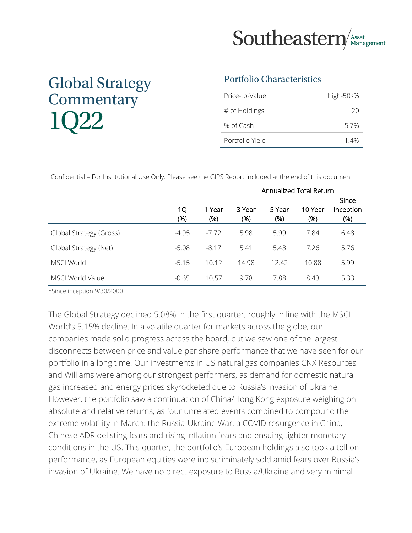

# Global Strategy **Commentary** 1Q22

#### Portfolio Characteristics

| Price-to-Value  | high-50s% |
|-----------------|-----------|
| # of Holdings   | 20        |
| % of Cash       | 57%       |
| Portfolio Yield | 14%       |

Confidential – For Institutional Use Only. Please see the GIPS Report included at the end of this document.

|                         | Annualized Total Return |               |               |                |                 |                                   |
|-------------------------|-------------------------|---------------|---------------|----------------|-----------------|-----------------------------------|
|                         | 1Q<br>(%)               | 1 Year<br>(%) | 3 Year<br>(%) | 5 Year<br>(% ) | 10 Year<br>(% ) | <b>Since</b><br>Inception<br>(% ) |
| Global Strategy (Gross) | $-4.95$                 | $-7.72$       | 5.98          | 5.99           | 7.84            | 6.48                              |
| Global Strategy (Net)   | $-5.08$                 | $-8.17$       | 5.41          | 5.43           | 7.26            | 5.76                              |
| <b>MSCI World</b>       | $-5.15$                 | 10.12         | 14.98         | 12.42          | 10.88           | 5.99                              |
| MSCI World Value        | $-0.65$                 | 10.57         | 9.78          | 7.88           | 8.43            | 5.33                              |

\*Since inception 9/30/2000

The Global Strategy declined 5.08% in the first quarter, roughly in line with the MSCI World's 5.15% decline. In a volatile quarter for markets across the globe, our companies made solid progress across the board, but we saw one of the largest disconnects between price and value per share performance that we have seen for our portfolio in a long time. Our investments in US natural gas companies CNX Resources and Williams were among our strongest performers, as demand for domestic natural gas increased and energy prices skyrocketed due to Russia's invasion of Ukraine. However, the portfolio saw a continuation of China/Hong Kong exposure weighing on absolute and relative returns, as four unrelated events combined to compound the extreme volatility in March: the Russia-Ukraine War, a COVID resurgence in China, Chinese ADR delisting fears and rising inflation fears and ensuing tighter monetary conditions in the US. This quarter, the portfolio's European holdings also took a toll on performance, as European equities were indiscriminately sold amid fears over Russia's invasion of Ukraine. We have no direct exposure to Russia/Ukraine and very minimal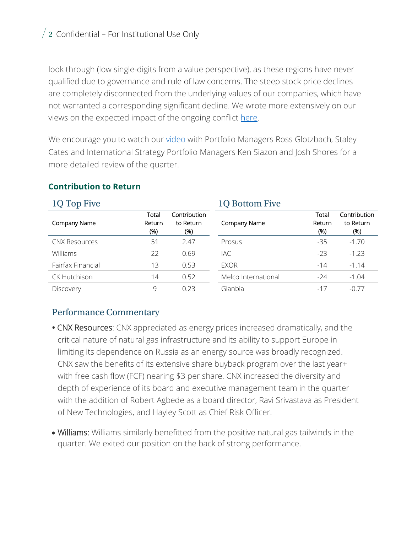$\sqrt{2}$  Confidential – For Institutional Use Only

look through (low single-digits from a value perspective), as these regions have never qualified due to governance and rule of law concerns. The steep stock price declines are completely disconnected from the underlying values of our companies, which have not warranted a corresponding significant decline. We wrote more extensively on our views on the expected impact of the ongoing conflict [here.](https://seastern.s3.amazonaws.com/uploads/2022/03/Russia-Ukraine-Impact-1.pdf)

We encourage you to watch our [video](https://southeasternasset.com/podcasts/1q-2022-global-portfolio-manager-review/) with Portfolio Managers Ross Glotzbach, Staley Cates and International Strategy Portfolio Managers Ken Siazon and Josh Shores for a more detailed review of the quarter.

#### **Contribution to Return**

| 1Q Top Five          |                        |                                  | <b>1Q Bottom Five</b> |                        |                                  |
|----------------------|------------------------|----------------------------------|-----------------------|------------------------|----------------------------------|
| Company Name         | Total<br>Return<br>(%) | Contribution<br>to Return<br>(%) | Company Name          | Total<br>Return<br>(%) | Contribution<br>to Return<br>(%) |
| <b>CNX Resources</b> | 51                     | 2.47                             | Prosus                | $-35$                  | $-1.70$                          |
| Williams             | 22                     | 0.69                             | IAC                   | $-23$                  | $-1.23$                          |
| Fairfax Financial    | 13                     | 0.53                             | <b>EXOR</b>           | $-14$                  | $-1.14$                          |
| <b>CK Hutchison</b>  | 14                     | 0.52                             | Melco International   | $-24$                  | $-1.04$                          |
| Discovery            | 9                      | 0.23                             | Glanbia               | $-17$                  | $-0.77$                          |

#### Performance Commentary

- **•** CNX Resources: CNX appreciated as energy prices increased dramatically, and the critical nature of natural gas infrastructure and its ability to support Europe in limiting its dependence on Russia as an energy source was broadly recognized. CNX saw the benefits of its extensive share buyback program over the last year+ with free cash flow (FCF) nearing \$3 per share. CNX increased the diversity and depth of experience of its board and executive management team in the quarter with the addition of Robert Agbede as a board director, Ravi Srivastava as President of New Technologies, and Hayley Scott as Chief Risk Officer.
- Williams: Williams similarly benefitted from the positive natural gas tailwinds in the quarter. We exited our position on the back of strong performance.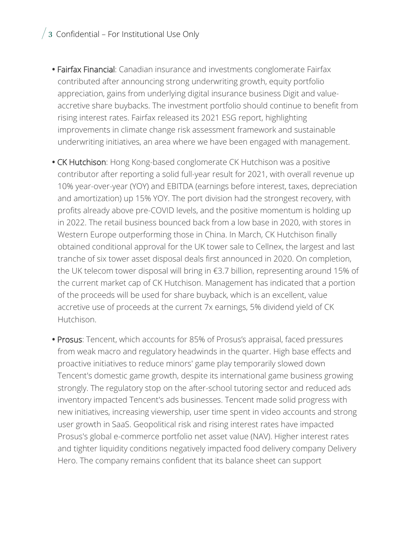## $\frac{1}{3}$  Confidential – For Institutional Use Only

- **•** Fairfax Financial: Canadian insurance and investments conglomerate Fairfax contributed after announcing strong underwriting growth, equity portfolio appreciation, gains from underlying digital insurance business Digit and valueaccretive share buybacks. The investment portfolio should continue to benefit from rising interest rates. Fairfax released its 2021 ESG report, highlighting improvements in climate change risk assessment framework and sustainable underwriting initiatives, an area where we have been engaged with management.
- **•** CK Hutchison: Hong Kong-based conglomerate CK Hutchison was a positive contributor after reporting a solid full-year result for 2021, with overall revenue up 10% year-over-year (YOY) and EBITDA (earnings before interest, taxes, depreciation and amortization) up 15% YOY. The port division had the strongest recovery, with profits already above pre-COVID levels, and the positive momentum is holding up in 2022. The retail business bounced back from a low base in 2020, with stores in Western Europe outperforming those in China. In March, CK Hutchison finally obtained conditional approval for the UK tower sale to Cellnex, the largest and last tranche of six tower asset disposal deals first announced in 2020. On completion, the UK telecom tower disposal will bring in €3.7 billion, representing around 15% of the current market cap of CK Hutchison. Management has indicated that a portion of the proceeds will be used for share buyback, which is an excellent, value accretive use of proceeds at the current 7x earnings, 5% dividend yield of CK Hutchison.
- **•** Prosus: Tencent, which accounts for 85% of Prosus's appraisal, faced pressures from weak macro and regulatory headwinds in the quarter. High base effects and proactive initiatives to reduce minors' game play temporarily slowed down Tencent's domestic game growth, despite its international game business growing strongly. The regulatory stop on the after-school tutoring sector and reduced ads inventory impacted Tencent's ads businesses. Tencent made solid progress with new initiatives, increasing viewership, user time spent in video accounts and strong user growth in SaaS. Geopolitical risk and rising interest rates have impacted Prosus's global e-commerce portfolio net asset value (NAV). Higher interest rates and tighter liquidity conditions negatively impacted food delivery company Delivery Hero. The company remains confident that its balance sheet can support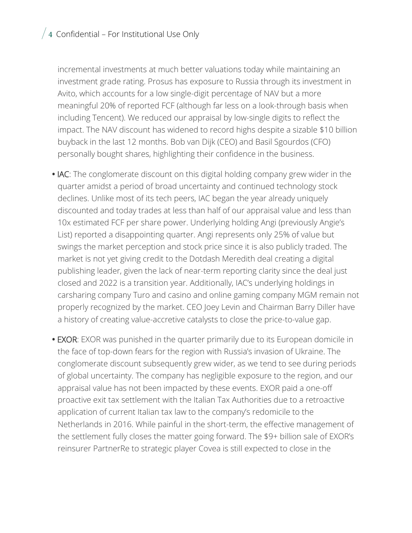### $\frac{1}{4}$  Confidential – For Institutional Use Only

incremental investments at much better valuations today while maintaining an investment grade rating. Prosus has exposure to Russia through its investment in Avito, which accounts for a low single-digit percentage of NAV but a more meaningful 20% of reported FCF (although far less on a look-through basis when including Tencent). We reduced our appraisal by low-single digits to reflect the impact. The NAV discount has widened to record highs despite a sizable \$10 billion buyback in the last 12 months. Bob van Dijk (CEO) and Basil Sgourdos (CFO) personally bought shares, highlighting their confidence in the business.

- **•** IAC: The conglomerate discount on this digital holding company grew wider in the quarter amidst a period of broad uncertainty and continued technology stock declines. Unlike most of its tech peers, IAC began the year already uniquely discounted and today trades at less than half of our appraisal value and less than 10x estimated FCF per share power. Underlying holding Angi (previously Angie's List) reported a disappointing quarter. Angi represents only 25% of value but swings the market perception and stock price since it is also publicly traded. The market is not yet giving credit to the Dotdash Meredith deal creating a digital publishing leader, given the lack of near-term reporting clarity since the deal just closed and 2022 is a transition year. Additionally, IAC's underlying holdings in carsharing company Turo and casino and online gaming company MGM remain not properly recognized by the market. CEO Joey Levin and Chairman Barry Diller have a history of creating value-accretive catalysts to close the price-to-value gap.
- **•** EXOR: EXOR was punished in the quarter primarily due to its European domicile in the face of top-down fears for the region with Russia's invasion of Ukraine. The conglomerate discount subsequently grew wider, as we tend to see during periods of global uncertainty. The company has negligible exposure to the region, and our appraisal value has not been impacted by these events. EXOR paid a one-off proactive exit tax settlement with the Italian Tax Authorities due to a retroactive application of current Italian tax law to the company's redomicile to the Netherlands in 2016. While painful in the short-term, the effective management of the settlement fully closes the matter going forward. The \$9+ billion sale of EXOR's reinsurer PartnerRe to strategic player Covea is still expected to close in the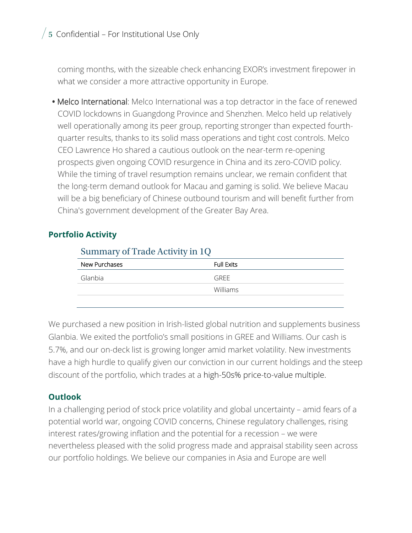$/5$  Confidential – For Institutional Use Only

coming months, with the sizeable check enhancing EXOR's investment firepower in what we consider a more attractive opportunity in Europe.

**•** Melco International: Melco International was a top detractor in the face of renewed COVID lockdowns in Guangdong Province and Shenzhen. Melco held up relatively well operationally among its peer group, reporting stronger than expected fourthquarter results, thanks to its solid mass operations and tight cost controls. Melco CEO Lawrence Ho shared a cautious outlook on the near-term re-opening prospects given ongoing COVID resurgence in China and its zero-COVID policy. While the timing of travel resumption remains unclear, we remain confident that the long-term demand outlook for Macau and gaming is solid. We believe Macau will be a big beneficiary of Chinese outbound tourism and will benefit further from China's government development of the Greater Bay Area.

#### **Portfolio Activity**

| Summary of Trade Activity in 1Q |                   |  |  |  |
|---------------------------------|-------------------|--|--|--|
| New Purchases                   | <b>Full Exits</b> |  |  |  |
| Glanbia                         | GRFF              |  |  |  |
|                                 | <b>Williams</b>   |  |  |  |
|                                 |                   |  |  |  |

We purchased a new position in Irish-listed global nutrition and supplements business Glanbia. We exited the portfolio's small positions in GREE and Williams. Our cash is 5.7%, and our on-deck list is growing longer amid market volatility. New investments have a high hurdle to qualify given our conviction in our current holdings and the steep discount of the portfolio, which trades at a high-50s% price-to-value multiple.

#### **Outlook**

In a challenging period of stock price volatility and global uncertainty – amid fears of a potential world war, ongoing COVID concerns, Chinese regulatory challenges, rising interest rates/growing inflation and the potential for a recession – we were nevertheless pleased with the solid progress made and appraisal stability seen across our portfolio holdings. We believe our companies in Asia and Europe are well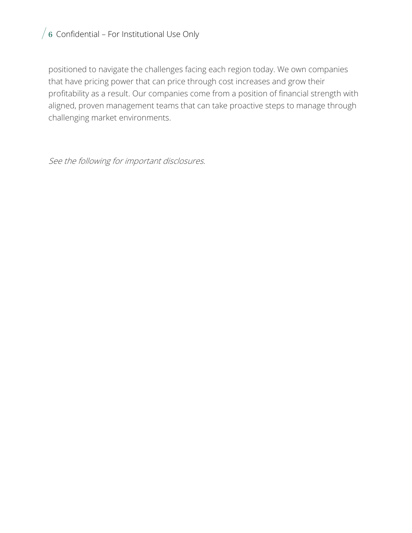# $/6$  Confidential – For Institutional Use Only

positioned to navigate the challenges facing each region today. We own companies that have pricing power that can price through cost increases and grow their profitability as a result. Our companies come from a position of financial strength with aligned, proven management teams that can take proactive steps to manage through challenging market environments.

See the following for important disclosures.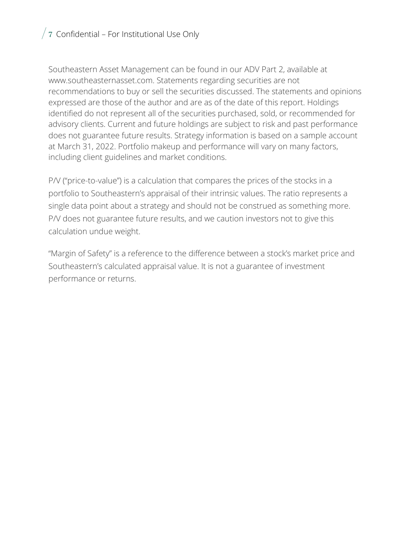# $\sqrt{7}$  Confidential – For Institutional Use Only

Southeastern Asset Management can be found in our ADV Part 2, available at www.southeasternasset.com. Statements regarding securities are not recommendations to buy or sell the securities discussed. The statements and opinions expressed are those of the author and are as of the date of this report. Holdings identified do not represent all of the securities purchased, sold, or recommended for advisory clients. Current and future holdings are subject to risk and past performance does not guarantee future results. Strategy information is based on a sample account at March 31, 2022. Portfolio makeup and performance will vary on many factors, including client guidelines and market conditions.

P/V ("price-to-value") is a calculation that compares the prices of the stocks in a portfolio to Southeastern's appraisal of their intrinsic values. The ratio represents a single data point about a strategy and should not be construed as something more. P/V does not guarantee future results, and we caution investors not to give this calculation undue weight.

"Margin of Safety" is a reference to the difference between a stock's market price and Southeastern's calculated appraisal value. It is not a guarantee of investment performance or returns.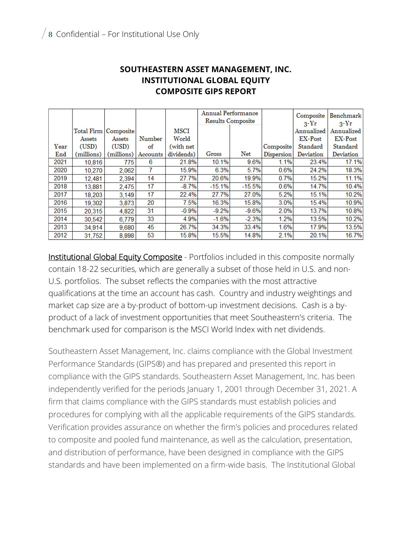|      |                        |            |          |            | <b>Annual Performance</b><br><b>Results Composite</b> |          |            | Composite<br>$3-Yr$ | <b>Benchmark</b><br>$3-Yr$ |
|------|------------------------|------------|----------|------------|-------------------------------------------------------|----------|------------|---------------------|----------------------------|
|      | Total Firm   Composite |            |          | MSCI       |                                                       |          |            | Annualized          | Annualized                 |
|      | Assets                 | Assets     | Number   | World      |                                                       |          |            | EX-Post             | <b>EX-Post</b>             |
| Year | (USD)                  | (USD)      | of       | (with net  |                                                       |          | Composite  | Standard            | Standard                   |
| End  | (millions)             | (millions) | Accounts | dividends) | Gross                                                 | Net      | Dispersion | Deviation           | Deviation                  |
| 2021 | 10,816                 | 775        | 6        | 21.8%      | 10.1%                                                 | 9.6%     | 1.1%       | 23.4%               | 17.1%                      |
| 2020 | 10,270                 | 2,062      | 7        | 15.9%      | 6.3%                                                  | 5.7%     | 0.6%       | 24.2%               | 18.3%                      |
| 2019 | 12.481                 | 2,394      | 14       | 27.7%      | 20.6%                                                 | 19.9%    | 0.7%       | 15.2%               | 11.1%                      |
| 2018 | 13,881                 | 2,475      | 17       | $-8.7%$    | $-15.1%$                                              | $-15.5%$ | 0.6%       | 14.7%               | 10.4%                      |
| 2017 | 18,203                 | 3,149      | 17       | 22.4%      | 27.7%                                                 | 27.0%    | 5.2%       | 15.1%               | 10.2%                      |
| 2016 | 19,302                 | 3,873      | 20       | 7.5%       | 16.3%                                                 | 15.8%    | 3.0%       | 15.4%               | 10.9%                      |
| 2015 | 20.315                 | 4,822      | 31       | $-0.9%$    | $-9.2%$                                               | $-9.6%$  | 2.0%       | 13.7%               | 10.8%                      |
| 2014 | 30,542                 | 6,779      | 33       | 4.9%       | $-1.6%$                                               | $-2.3%$  | 1.2%       | 13.5%               | 10.2%                      |
| 2013 | 34,914                 | 9,680      | 45       | 26.7%      | 34.3%                                                 | 33.4%    | 1.6%       | 17.9%               | 13.5%                      |
| 2012 | 31.752                 | 8.898      | 53       | 15.8%      | 15.5%                                                 | 14.8%    | 2.1%       | 20.1%               | 16.7%                      |

#### **SOUTHEASTERN ASSET MANAGEMENT, INC. INSTITUTIONAL GLOBAL EQUITY COMPOSITE GIPS REPORT**

**Institutional Global Equity Composite** - Portfolios included in this composite normally contain 18-22 securities, which are generally a subset of those held in U.S. and non-U.S. portfolios. The subset reflects the companies with the most attractive qualifications at the time an account has cash. Country and industry weightings and market cap size are a by-product of bottom-up investment decisions. Cash is a byproduct of a lack of investment opportunities that meet Southeastern's criteria. The benchmark used for comparison is the MSCI World Index with net dividends.

Southeastern Asset Management, Inc. claims compliance with the Global Investment Performance Standards (GIPS®) and has prepared and presented this report in compliance with the GIPS standards. Southeastern Asset Management, Inc. has been independently verified for the periods January 1, 2001 through December 31, 2021. A firm that claims compliance with the GIPS standards must establish policies and procedures for complying with all the applicable requirements of the GIPS standards. Verification provides assurance on whether the firm's policies and procedures related to composite and pooled fund maintenance, as well as the calculation, presentation, and distribution of performance, have been designed in compliance with the GIPS standards and have been implemented on a firm-wide basis. The Institutional Global